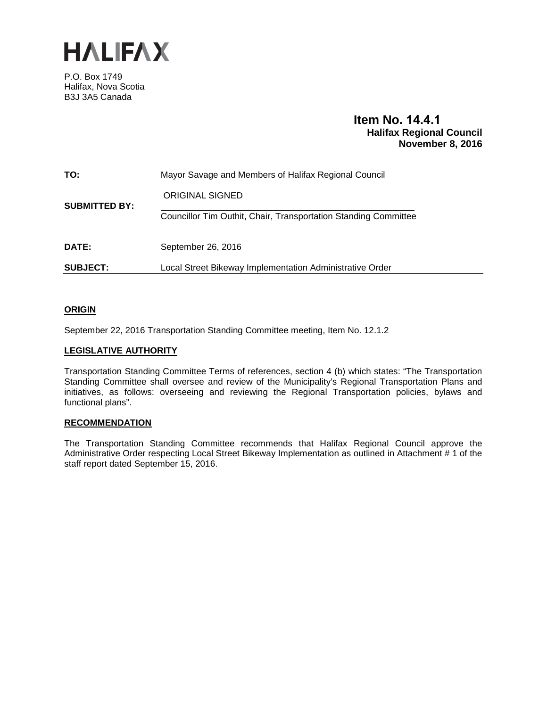

P.O. Box 1749 Halifax, Nova Scotia B3J 3A5 Canada

### **Item No. 14.4.1 Halifax Regional Council November 8, 2016**

| TO:                  | Mayor Savage and Members of Halifax Regional Council            |  |
|----------------------|-----------------------------------------------------------------|--|
| <b>SUBMITTED BY:</b> | <b>ORIGINAL SIGNED</b>                                          |  |
|                      | Councillor Tim Outhit, Chair, Transportation Standing Committee |  |
| DATE:                | September 26, 2016                                              |  |
| <b>SUBJECT:</b>      | Local Street Bikeway Implementation Administrative Order        |  |

#### **ORIGIN**

September 22, 2016 Transportation Standing Committee meeting, Item No. 12.1.2

#### **LEGISLATIVE AUTHORITY**

Transportation Standing Committee Terms of references, section 4 (b) which states: "The Transportation Standing Committee shall oversee and review of the Municipality's Regional Transportation Plans and initiatives, as follows: overseeing and reviewing the Regional Transportation policies, bylaws and functional plans".

#### **RECOMMENDATION**

The Transportation Standing Committee recommends that Halifax Regional Council approve the Administrative Order respecting Local Street Bikeway Implementation as outlined in Attachment # 1 of the staff report dated September 15, 2016.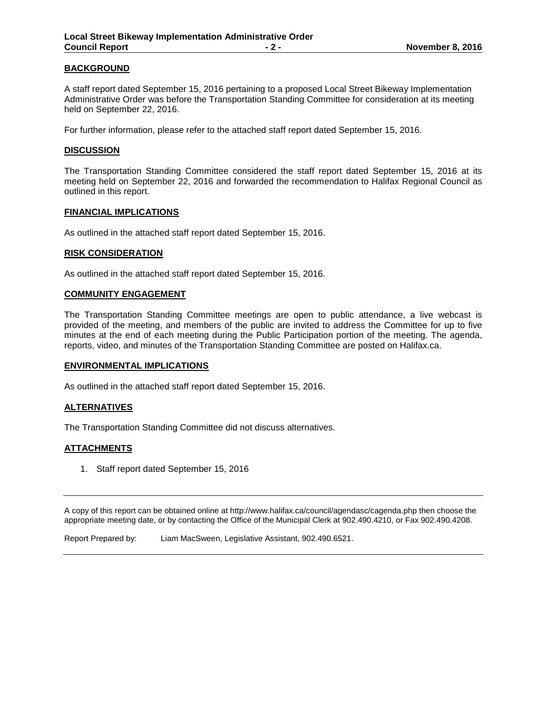#### **BACKGROUND**

A staff report dated September 15, 2016 pertaining to a proposed Local Street Bikeway Implementation Administrative Order was before the Transportation Standing Committee for consideration at its meeting held on September 22, 2016.

For further information, please refer to the attached staff report dated September 15, 2016.

#### **DISCUSSION**

The Transportation Standing Committee considered the staff report dated September 15, 2016 at its meeting held on September 22, 2016 and forwarded the recommendation to Halifax Regional Council as outlined in this report.

#### **FINANCIAL IMPLICATIONS**

As outlined in the attached staff report dated September 15, 2016.

#### **RISK CONSIDERATION**

As outlined in the attached staff report dated September 15, 2016.

#### **COMMUNITY ENGAGEMENT**

The Transportation Standing Committee meetings are open to public attendance, a live webcast is provided of the meeting, and members of the public are invited to address the Committee for up to five minutes at the end of each meeting during the Public Participation portion of the meeting. The agenda, reports, video, and minutes of the Transportation Standing Committee are posted on Halifax.ca.

#### **ENVIRONMENTAL IMPLICATIONS**

As outlined in the attached staff report dated September 15, 2016.

#### **ALTERNATIVES**

The Transportation Standing Committee did not discuss alternatives.

#### **ATTACHMENTS**

1. Staff report dated September 15, 2016

A copy of this report can be obtained online at http://www.halifax.ca/council/agendasc/cagenda.php then choose the appropriate meeting date, or by contacting the Office of the Municipal Clerk at 902.490.4210, or Fax 902.490.4208.

Report Prepared by: Liam MacSween, Legislative Assistant, 902.490.6521.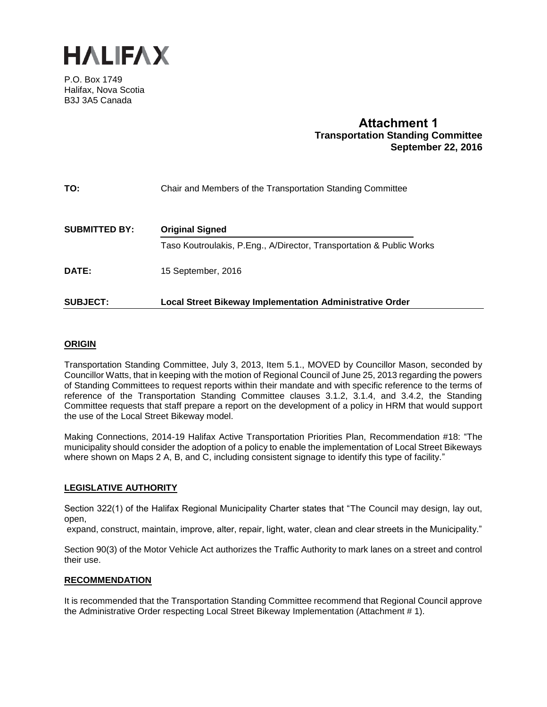

P.O. Box 1749 Halifax, Nova Scotia B3J 3A5 Canada

## **Attachment 1 Transportation Standing Committee September 22, 2016**

| TO:                  | Chair and Members of the Transportation Standing Committee           |
|----------------------|----------------------------------------------------------------------|
| <b>SUBMITTED BY:</b> | <b>Original Signed</b>                                               |
|                      | Taso Koutroulakis, P.Eng., A/Director, Transportation & Public Works |
| <b>DATE:</b>         | 15 September, 2016                                                   |
| <b>SUBJECT:</b>      | <b>Local Street Bikeway Implementation Administrative Order</b>      |

#### **ORIGIN**

Transportation Standing Committee, July 3, 2013, Item 5.1., MOVED by Councillor Mason, seconded by Councillor Watts, that in keeping with the motion of Regional Council of June 25, 2013 regarding the powers of Standing Committees to request reports within their mandate and with specific reference to the terms of reference of the Transportation Standing Committee clauses 3.1.2, 3.1.4, and 3.4.2, the Standing Committee requests that staff prepare a report on the development of a policy in HRM that would support the use of the Local Street Bikeway model.

Making Connections, 2014-19 Halifax Active Transportation Priorities Plan, Recommendation #18: "The municipality should consider the adoption of a policy to enable the implementation of Local Street Bikeways where shown on Maps 2 A, B, and C, including consistent signage to identify this type of facility."

#### **LEGISLATIVE AUTHORITY**

Section 322(1) of the Halifax Regional Municipality Charter states that "The Council may design, lay out, open,

expand, construct, maintain, improve, alter, repair, light, water, clean and clear streets in the Municipality."

Section 90(3) of the Motor Vehicle Act authorizes the Traffic Authority to mark lanes on a street and control their use.

#### **RECOMMENDATION**

It is recommended that the Transportation Standing Committee recommend that Regional Council approve the Administrative Order respecting Local Street Bikeway Implementation (Attachment # 1).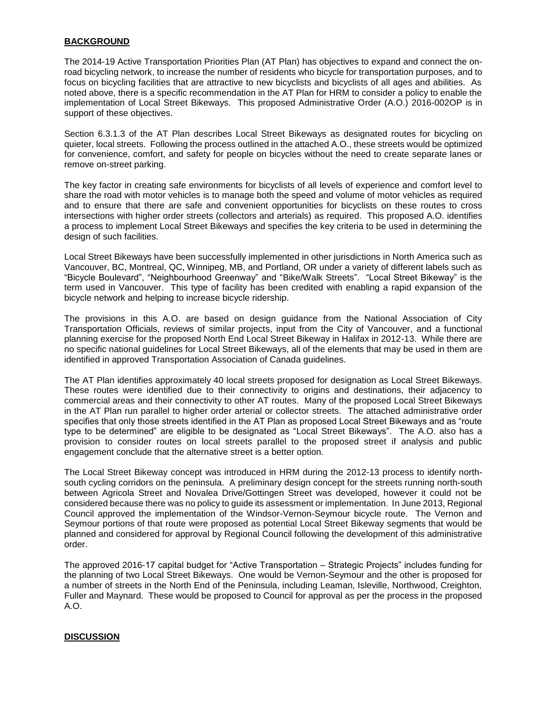#### **BACKGROUND**

The 2014-19 Active Transportation Priorities Plan (AT Plan) has objectives to expand and connect the onroad bicycling network, to increase the number of residents who bicycle for transportation purposes, and to focus on bicycling facilities that are attractive to new bicyclists and bicyclists of all ages and abilities. As noted above, there is a specific recommendation in the AT Plan for HRM to consider a policy to enable the implementation of Local Street Bikeways. This proposed Administrative Order (A.O.) 2016-002OP is in support of these objectives.

Section 6.3.1.3 of the AT Plan describes Local Street Bikeways as designated routes for bicycling on quieter, local streets. Following the process outlined in the attached A.O., these streets would be optimized for convenience, comfort, and safety for people on bicycles without the need to create separate lanes or remove on-street parking.

The key factor in creating safe environments for bicyclists of all levels of experience and comfort level to share the road with motor vehicles is to manage both the speed and volume of motor vehicles as required and to ensure that there are safe and convenient opportunities for bicyclists on these routes to cross intersections with higher order streets (collectors and arterials) as required. This proposed A.O. identifies a process to implement Local Street Bikeways and specifies the key criteria to be used in determining the design of such facilities.

Local Street Bikeways have been successfully implemented in other jurisdictions in North America such as Vancouver, BC, Montreal, QC, Winnipeg, MB, and Portland, OR under a variety of different labels such as "Bicycle Boulevard", "Neighbourhood Greenway" and "Bike/Walk Streets". "Local Street Bikeway" is the term used in Vancouver. This type of facility has been credited with enabling a rapid expansion of the bicycle network and helping to increase bicycle ridership.

The provisions in this A.O. are based on design guidance from the National Association of City Transportation Officials, reviews of similar projects, input from the City of Vancouver, and a functional planning exercise for the proposed North End Local Street Bikeway in Halifax in 2012-13. While there are no specific national guidelines for Local Street Bikeways, all of the elements that may be used in them are identified in approved Transportation Association of Canada guidelines.

The AT Plan identifies approximately 40 local streets proposed for designation as Local Street Bikeways. These routes were identified due to their connectivity to origins and destinations, their adjacency to commercial areas and their connectivity to other AT routes. Many of the proposed Local Street Bikeways in the AT Plan run parallel to higher order arterial or collector streets. The attached administrative order specifies that only those streets identified in the AT Plan as proposed Local Street Bikeways and as "route type to be determined" are eligible to be designated as "Local Street Bikeways". The A.O. also has a provision to consider routes on local streets parallel to the proposed street if analysis and public engagement conclude that the alternative street is a better option.

The Local Street Bikeway concept was introduced in HRM during the 2012-13 process to identify northsouth cycling corridors on the peninsula. A preliminary design concept for the streets running north-south between Agricola Street and Novalea Drive/Gottingen Street was developed, however it could not be considered because there was no policy to guide its assessment or implementation. In June 2013, Regional Council approved the implementation of the Windsor-Vernon-Seymour bicycle route. The Vernon and Seymour portions of that route were proposed as potential Local Street Bikeway segments that would be planned and considered for approval by Regional Council following the development of this administrative order.

The approved 2016-17 capital budget for "Active Transportation – Strategic Projects" includes funding for the planning of two Local Street Bikeways. One would be Vernon-Seymour and the other is proposed for a number of streets in the North End of the Peninsula, including Leaman, Isleville, Northwood, Creighton, Fuller and Maynard. These would be proposed to Council for approval as per the process in the proposed A.O.

#### **DISCUSSION**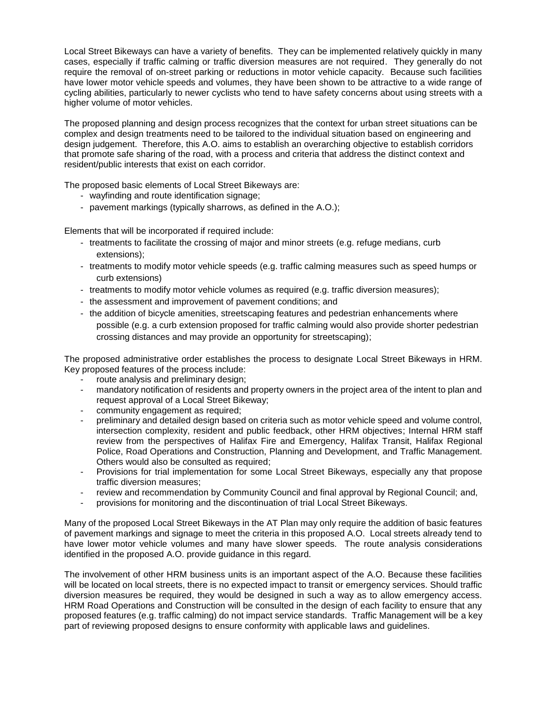Local Street Bikeways can have a variety of benefits. They can be implemented relatively quickly in many cases, especially if traffic calming or traffic diversion measures are not required. They generally do not require the removal of on-street parking or reductions in motor vehicle capacity. Because such facilities have lower motor vehicle speeds and volumes, they have been shown to be attractive to a wide range of cycling abilities, particularly to newer cyclists who tend to have safety concerns about using streets with a higher volume of motor vehicles.

The proposed planning and design process recognizes that the context for urban street situations can be complex and design treatments need to be tailored to the individual situation based on engineering and design judgement. Therefore, this A.O. aims to establish an overarching objective to establish corridors that promote safe sharing of the road, with a process and criteria that address the distinct context and resident/public interests that exist on each corridor.

The proposed basic elements of Local Street Bikeways are:

- wayfinding and route identification signage;
- pavement markings (typically sharrows, as defined in the A.O.);

Elements that will be incorporated if required include:

- treatments to facilitate the crossing of major and minor streets (e.g. refuge medians, curb extensions);
- treatments to modify motor vehicle speeds (e.g. traffic calming measures such as speed humps or curb extensions)
- treatments to modify motor vehicle volumes as required (e.g. traffic diversion measures);
- the assessment and improvement of pavement conditions; and
- the addition of bicycle amenities, streetscaping features and pedestrian enhancements where possible (e.g. a curb extension proposed for traffic calming would also provide shorter pedestrian crossing distances and may provide an opportunity for streetscaping);

The proposed administrative order establishes the process to designate Local Street Bikeways in HRM. Key proposed features of the process include:

- route analysis and preliminary design;
- mandatory notification of residents and property owners in the project area of the intent to plan and request approval of a Local Street Bikeway;
- community engagement as required;
- preliminary and detailed design based on criteria such as motor vehicle speed and volume control, intersection complexity, resident and public feedback, other HRM objectives; Internal HRM staff review from the perspectives of Halifax Fire and Emergency, Halifax Transit, Halifax Regional Police, Road Operations and Construction, Planning and Development, and Traffic Management. Others would also be consulted as required;
- Provisions for trial implementation for some Local Street Bikeways, especially any that propose traffic diversion measures;
- review and recommendation by Community Council and final approval by Regional Council; and,
- provisions for monitoring and the discontinuation of trial Local Street Bikeways.

Many of the proposed Local Street Bikeways in the AT Plan may only require the addition of basic features of pavement markings and signage to meet the criteria in this proposed A.O. Local streets already tend to have lower motor vehicle volumes and many have slower speeds. The route analysis considerations identified in the proposed A.O. provide guidance in this regard.

The involvement of other HRM business units is an important aspect of the A.O. Because these facilities will be located on local streets, there is no expected impact to transit or emergency services. Should traffic diversion measures be required, they would be designed in such a way as to allow emergency access. HRM Road Operations and Construction will be consulted in the design of each facility to ensure that any proposed features (e.g. traffic calming) do not impact service standards. Traffic Management will be a key part of reviewing proposed designs to ensure conformity with applicable laws and guidelines.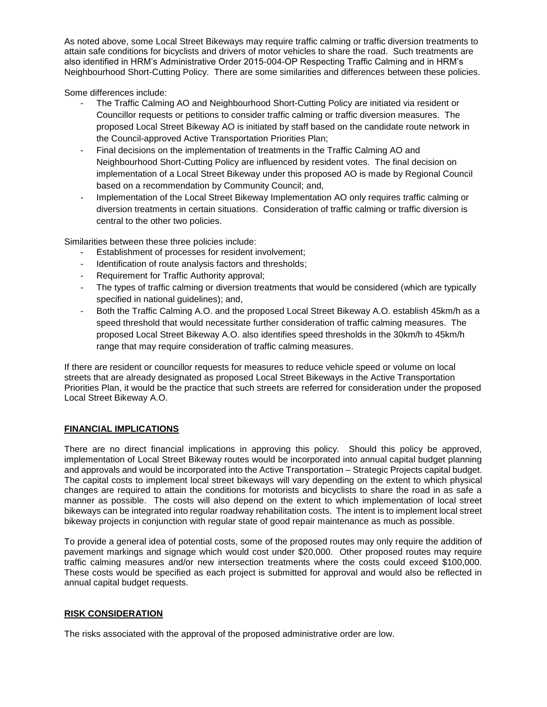As noted above, some Local Street Bikeways may require traffic calming or traffic diversion treatments to attain safe conditions for bicyclists and drivers of motor vehicles to share the road. Such treatments are also identified in HRM's Administrative Order 2015-004-OP Respecting Traffic Calming and in HRM's Neighbourhood Short-Cutting Policy. There are some similarities and differences between these policies.

Some differences include:

- The Traffic Calming AO and Neighbourhood Short-Cutting Policy are initiated via resident or Councillor requests or petitions to consider traffic calming or traffic diversion measures. The proposed Local Street Bikeway AO is initiated by staff based on the candidate route network in the Council-approved Active Transportation Priorities Plan;
- Final decisions on the implementation of treatments in the Traffic Calming AO and Neighbourhood Short-Cutting Policy are influenced by resident votes. The final decision on implementation of a Local Street Bikeway under this proposed AO is made by Regional Council based on a recommendation by Community Council; and,
- Implementation of the Local Street Bikeway Implementation AO only requires traffic calming or diversion treatments in certain situations. Consideration of traffic calming or traffic diversion is central to the other two policies.

Similarities between these three policies include:

- Establishment of processes for resident involvement:
- Identification of route analysis factors and thresholds;
- Requirement for Traffic Authority approval;
- The types of traffic calming or diversion treatments that would be considered (which are typically specified in national guidelines); and,
- Both the Traffic Calming A.O. and the proposed Local Street Bikeway A.O. establish 45km/h as a speed threshold that would necessitate further consideration of traffic calming measures. The proposed Local Street Bikeway A.O. also identifies speed thresholds in the 30km/h to 45km/h range that may require consideration of traffic calming measures.

If there are resident or councillor requests for measures to reduce vehicle speed or volume on local streets that are already designated as proposed Local Street Bikeways in the Active Transportation Priorities Plan, it would be the practice that such streets are referred for consideration under the proposed Local Street Bikeway A.O.

#### **FINANCIAL IMPLICATIONS**

There are no direct financial implications in approving this policy. Should this policy be approved, implementation of Local Street Bikeway routes would be incorporated into annual capital budget planning and approvals and would be incorporated into the Active Transportation – Strategic Projects capital budget. The capital costs to implement local street bikeways will vary depending on the extent to which physical changes are required to attain the conditions for motorists and bicyclists to share the road in as safe a manner as possible. The costs will also depend on the extent to which implementation of local street bikeways can be integrated into regular roadway rehabilitation costs. The intent is to implement local street bikeway projects in conjunction with regular state of good repair maintenance as much as possible.

To provide a general idea of potential costs, some of the proposed routes may only require the addition of pavement markings and signage which would cost under \$20,000. Other proposed routes may require traffic calming measures and/or new intersection treatments where the costs could exceed \$100,000. These costs would be specified as each project is submitted for approval and would also be reflected in annual capital budget requests.

#### **RISK CONSIDERATION**

The risks associated with the approval of the proposed administrative order are low.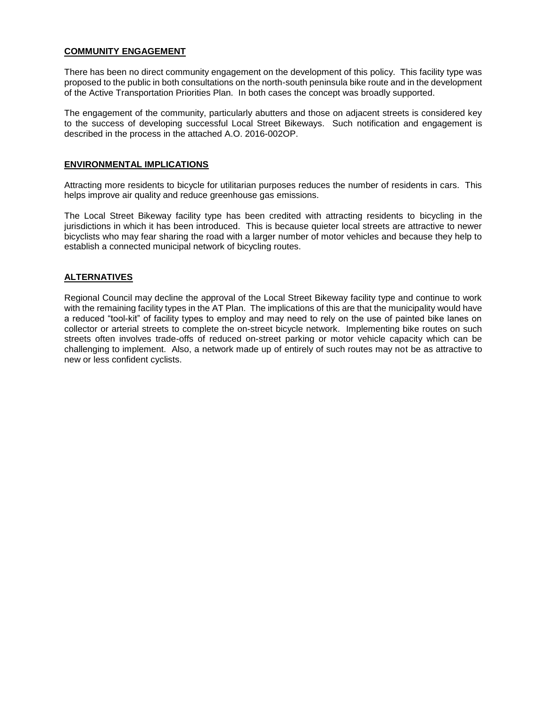#### **COMMUNITY ENGAGEMENT**

There has been no direct community engagement on the development of this policy. This facility type was proposed to the public in both consultations on the north-south peninsula bike route and in the development of the Active Transportation Priorities Plan. In both cases the concept was broadly supported.

The engagement of the community, particularly abutters and those on adjacent streets is considered key to the success of developing successful Local Street Bikeways. Such notification and engagement is described in the process in the attached A.O. 2016-002OP.

#### **ENVIRONMENTAL IMPLICATIONS**

Attracting more residents to bicycle for utilitarian purposes reduces the number of residents in cars. This helps improve air quality and reduce greenhouse gas emissions.

The Local Street Bikeway facility type has been credited with attracting residents to bicycling in the jurisdictions in which it has been introduced. This is because quieter local streets are attractive to newer bicyclists who may fear sharing the road with a larger number of motor vehicles and because they help to establish a connected municipal network of bicycling routes.

#### **ALTERNATIVES**

Regional Council may decline the approval of the Local Street Bikeway facility type and continue to work with the remaining facility types in the AT Plan. The implications of this are that the municipality would have a reduced "tool-kit" of facility types to employ and may need to rely on the use of painted bike lanes on collector or arterial streets to complete the on-street bicycle network. Implementing bike routes on such streets often involves trade-offs of reduced on-street parking or motor vehicle capacity which can be challenging to implement. Also, a network made up of entirely of such routes may not be as attractive to new or less confident cyclists.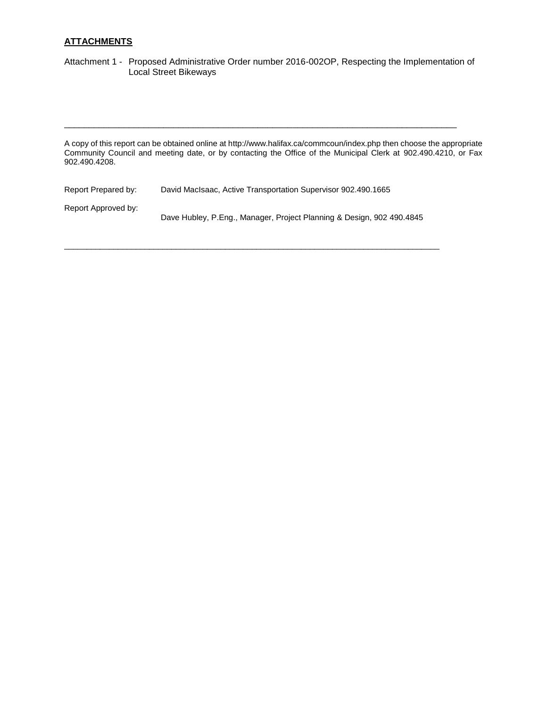#### **ATTACHMENTS**

Attachment 1 - Proposed Administrative Order number 2016-002OP, Respecting the Implementation of Local Street Bikeways

A copy of this report can be obtained online at http://www.halifax.ca/commcoun/index.php then choose the appropriate Community Council and meeting date, or by contacting the Office of the Municipal Clerk at 902.490.4210, or Fax 902.490.4208.

\_\_\_\_\_\_\_\_\_\_\_\_\_\_\_\_\_\_\_\_\_\_\_\_\_\_\_\_\_\_\_\_\_\_\_\_\_\_\_\_\_\_\_\_\_\_\_\_\_\_\_\_\_\_\_\_\_\_\_\_\_\_\_\_\_\_\_\_\_\_\_\_\_\_\_\_\_\_\_

| Report Prepared by: | David MacIsaac, Active Transportation Supervisor 902.490.1665         |
|---------------------|-----------------------------------------------------------------------|
| Report Approved by: | Dave Hubley, P.Eng., Manager, Project Planning & Design, 902 490.4845 |

\_\_\_\_\_\_\_\_\_\_\_\_\_\_\_\_\_\_\_\_\_\_\_\_\_\_\_\_\_\_\_\_\_\_\_\_\_\_\_\_\_\_\_\_\_\_\_\_\_\_\_\_\_\_\_\_\_\_\_\_\_\_\_\_\_\_\_\_\_\_\_\_\_\_\_\_\_\_\_\_\_\_\_\_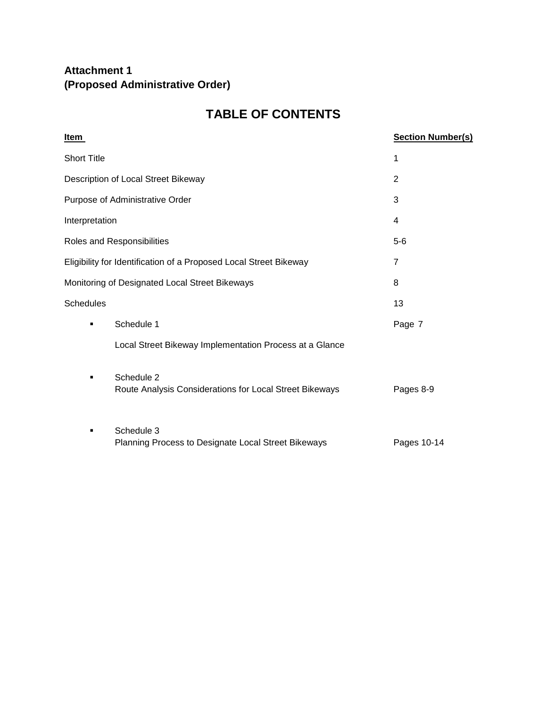# **Attachment 1 (Proposed Administrative Order)**

# **TABLE OF CONTENTS**

| <u>Item</u>                         |                                                                       | <b>Section Number(s)</b> |
|-------------------------------------|-----------------------------------------------------------------------|--------------------------|
| <b>Short Title</b>                  |                                                                       | 1                        |
| Description of Local Street Bikeway |                                                                       | 2                        |
| Purpose of Administrative Order     |                                                                       | 3                        |
| Interpretation                      |                                                                       | 4                        |
|                                     | Roles and Responsibilities                                            | $5-6$                    |
|                                     | Eligibility for Identification of a Proposed Local Street Bikeway     | 7                        |
|                                     | Monitoring of Designated Local Street Bikeways                        | 8                        |
| <b>Schedules</b>                    |                                                                       | 13                       |
| $\blacksquare$                      | Schedule 1                                                            | Page 7                   |
|                                     | Local Street Bikeway Implementation Process at a Glance               |                          |
| $\blacksquare$                      | Schedule 2<br>Route Analysis Considerations for Local Street Bikeways | Pages 8-9                |
|                                     | Schedule 3<br>Planning Process to Designate Local Street Bikeways     | Pages 10-14              |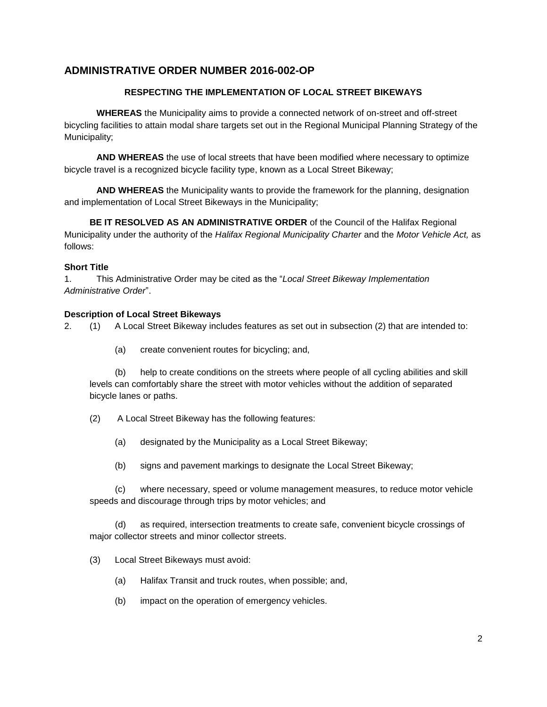## **ADMINISTRATIVE ORDER NUMBER 2016-002-OP**

#### **RESPECTING THE IMPLEMENTATION OF LOCAL STREET BIKEWAYS**

**WHEREAS** the Municipality aims to provide a connected network of on-street and off-street bicycling facilities to attain modal share targets set out in the Regional Municipal Planning Strategy of the Municipality;

**AND WHEREAS** the use of local streets that have been modified where necessary to optimize bicycle travel is a recognized bicycle facility type, known as a Local Street Bikeway;

**AND WHEREAS** the Municipality wants to provide the framework for the planning, designation and implementation of Local Street Bikeways in the Municipality;

**BE IT RESOLVED AS AN ADMINISTRATIVE ORDER** of the Council of the Halifax Regional Municipality under the authority of the *Halifax Regional Municipality Charter* and the *Motor Vehicle Act,* as follows:

#### **Short Title**

1. This Administrative Order may be cited as the "*Local Street Bikeway Implementation Administrative Order*".

#### **Description of Local Street Bikeways**

2. (1) A Local Street Bikeway includes features as set out in subsection (2) that are intended to:

(a) create convenient routes for bicycling; and,

(b) help to create conditions on the streets where people of all cycling abilities and skill levels can comfortably share the street with motor vehicles without the addition of separated bicycle lanes or paths.

- (2) A Local Street Bikeway has the following features:
	- (a) designated by the Municipality as a Local Street Bikeway;
	- (b) signs and pavement markings to designate the Local Street Bikeway;

(c) where necessary, speed or volume management measures, to reduce motor vehicle speeds and discourage through trips by motor vehicles; and

(d) as required, intersection treatments to create safe, convenient bicycle crossings of major collector streets and minor collector streets.

- (3) Local Street Bikeways must avoid:
	- (a) Halifax Transit and truck routes, when possible; and,
	- (b) impact on the operation of emergency vehicles.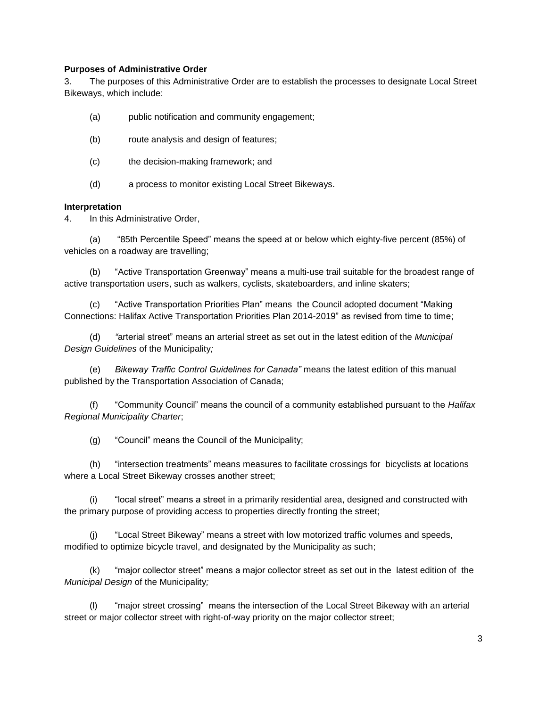#### **Purposes of Administrative Order**

3. The purposes of this Administrative Order are to establish the processes to designate Local Street Bikeways, which include:

- (a) public notification and community engagement;
- (b) route analysis and design of features;
- (c) the decision-making framework; and
- (d) a process to monitor existing Local Street Bikeways.

#### **Interpretation**

4. In this Administrative Order,

(a) "85th Percentile Speed" means the speed at or below which eighty-five percent (85%) of vehicles on a roadway are travelling;

(b) "Active Transportation Greenway" means a multi-use trail suitable for the broadest range of active transportation users, such as walkers, cyclists, skateboarders, and inline skaters;

(c) "Active Transportation Priorities Plan" means the Council adopted document "Making Connections: Halifax Active Transportation Priorities Plan 2014-2019" as revised from time to time;

(d) *"*arterial street" means an arterial street as set out in the latest edition of the *Municipal Design Guidelines* of the Municipality*;*

(e) *Bikeway Traffic Control Guidelines for Canada"* means the latest edition of this manual published by the Transportation Association of Canada;

(f) "Community Council" means the council of a community established pursuant to the *Halifax Regional Municipality Charter*;

(g) "Council" means the Council of the Municipality;

(h) "intersection treatments" means measures to facilitate crossings for bicyclists at locations where a Local Street Bikeway crosses another street;

(i) "local street" means a street in a primarily residential area, designed and constructed with the primary purpose of providing access to properties directly fronting the street;

(j) "Local Street Bikeway" means a street with low motorized traffic volumes and speeds, modified to optimize bicycle travel, and designated by the Municipality as such;

(k) "major collector street" means a major collector street as set out in the latest edition of the *Municipal Design* of the Municipality*;*

(l) "major street crossing" means the intersection of the Local Street Bikeway with an arterial street or major collector street with right-of-way priority on the major collector street;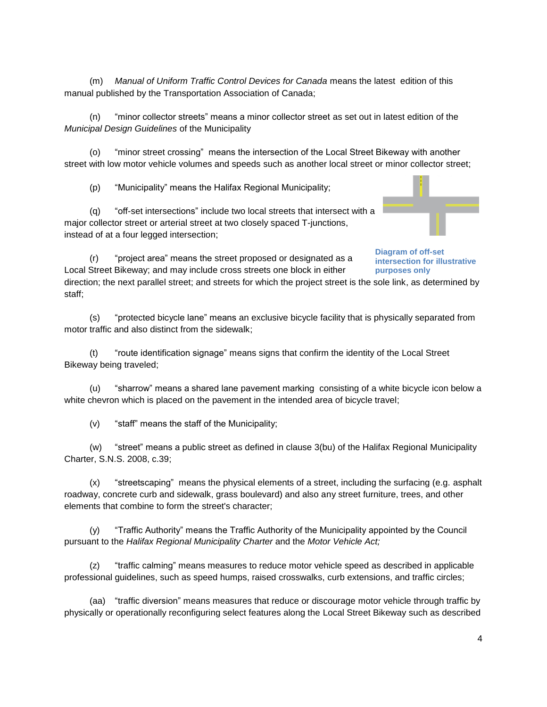(m) *Manual of Uniform Traffic Control Devices for Canada* means the latest edition of this manual published by the Transportation Association of Canada;

(n) "minor collector streets" means a minor collector street as set out in latest edition of the *Municipal Design Guidelines* of the Municipality

(o) "minor street crossing" means the intersection of the Local Street Bikeway with another street with low motor vehicle volumes and speeds such as another local street or minor collector street;

(p) "Municipality" means the Halifax Regional Municipality;

(q) "off-set intersections" include two local streets that intersect with a major collector street or arterial street at two closely spaced T-junctions, instead of at a four legged intersection;

(r) "project area" means the street proposed or designated as a Local Street Bikeway; and may include cross streets one block in either **Diagram of off-set intersection for illustrative purposes only** 

direction; the next parallel street; and streets for which the project street is the sole link, as determined by staff;

(s) "protected bicycle lane" means an exclusive bicycle facility that is physically separated from motor traffic and also distinct from the sidewalk;

"route identification signage" means signs that confirm the identity of the Local Street Bikeway being traveled;

(u) "sharrow" means a shared lane pavement marking consisting of a white bicycle icon below a white chevron which is placed on the pavement in the intended area of bicycle travel;

(v) "staff" means the staff of the Municipality;

(w) "street" means a public street as defined in clause 3(bu) of the Halifax Regional Municipality Charter, S.N.S. 2008, c.39;

(x) "streetscaping" means the physical elements of a street, including the surfacing (e.g. asphalt roadway, concrete curb and sidewalk, grass boulevard) and also any street furniture, trees, and other elements that combine to form the street's character;

(y) "Traffic Authority" means the Traffic Authority of the Municipality appointed by the Council pursuant to the *Halifax Regional Municipality Charter* and the *Motor Vehicle Act;*

(z) "traffic calming" means measures to reduce motor vehicle speed as described in applicable professional guidelines, such as speed humps, raised crosswalks, curb extensions, and traffic circles;

(aa) "traffic diversion" means measures that reduce or discourage motor vehicle through traffic by physically or operationally reconfiguring select features along the Local Street Bikeway such as described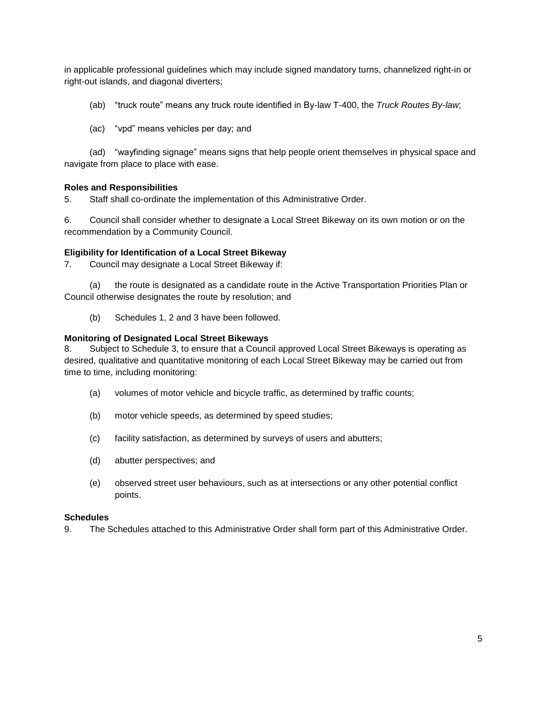in applicable professional guidelines which may include signed mandatory turns, channelized right-in or right-out islands, and diagonal diverters;

(ab) "truck route" means any truck route identified in By-law T-400, the *Truck Routes By-law*;

(ac) "vpd" means vehicles per day; and

(ad) "wayfinding signage" means signs that help people orient themselves in physical space and navigate from place to place with ease.

#### **Roles and Responsibilities**

5. Staff shall co-ordinate the implementation of this Administrative Order.

6. Council shall consider whether to designate a Local Street Bikeway on its own motion or on the recommendation by a Community Council.

#### **Eligibility for Identification of a Local Street Bikeway**

7. Council may designate a Local Street Bikeway if:

(a) the route is designated as a candidate route in the Active Transportation Priorities Plan or Council otherwise designates the route by resolution; and

(b) Schedules 1, 2 and 3 have been followed.

#### **Monitoring of Designated Local Street Bikeways**

8. Subject to Schedule 3, to ensure that a Council approved Local Street Bikeways is operating as desired, qualitative and quantitative monitoring of each Local Street Bikeway may be carried out from time to time, including monitoring:

- (a) volumes of motor vehicle and bicycle traffic, as determined by traffic counts;
- (b) motor vehicle speeds, as determined by speed studies;
- (c) facility satisfaction, as determined by surveys of users and abutters;
- (d) abutter perspectives; and
- (e) observed street user behaviours, such as at intersections or any other potential conflict points.

#### **Schedules**

9. The Schedules attached to this Administrative Order shall form part of this Administrative Order.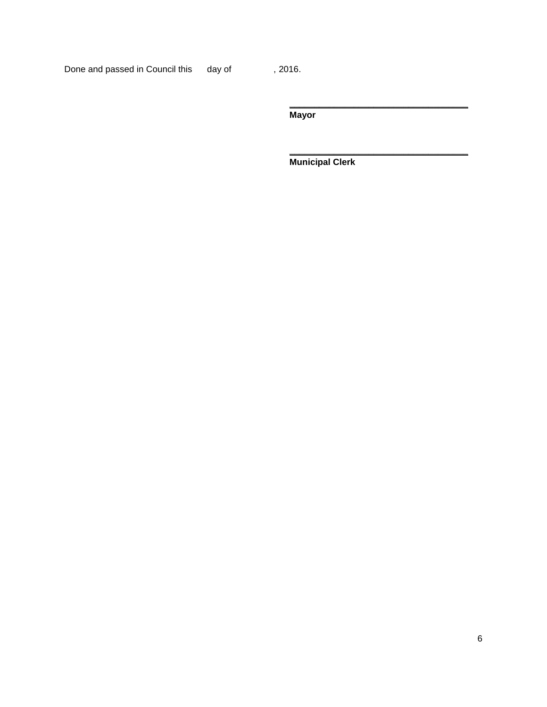Done and passed in Council this day of , 2016.

**Mayor**

**Municipal Clerk**

**\_\_\_\_\_\_\_\_\_\_\_\_\_\_\_\_\_\_\_\_\_\_\_\_\_\_\_\_\_\_\_\_\_\_\_\_**

**\_\_\_\_\_\_\_\_\_\_\_\_\_\_\_\_\_\_\_\_\_\_\_\_\_\_\_\_\_\_\_\_\_\_\_\_**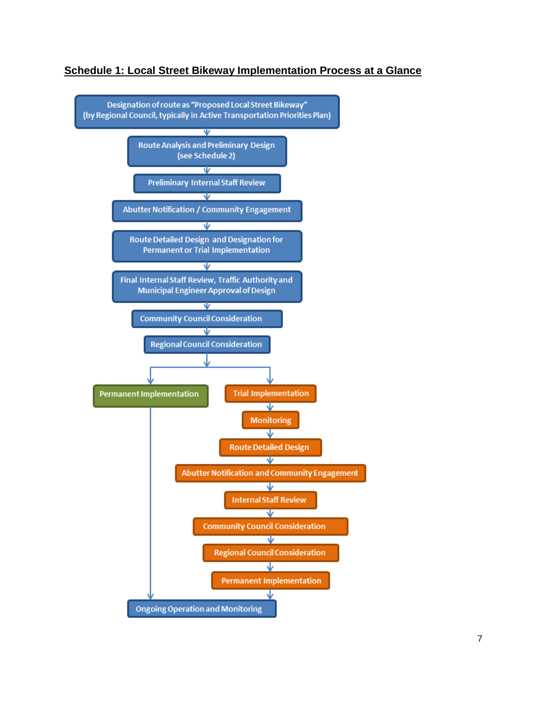

#### **Schedule 1: Local Street Bikeway Implementation Process at a Glance**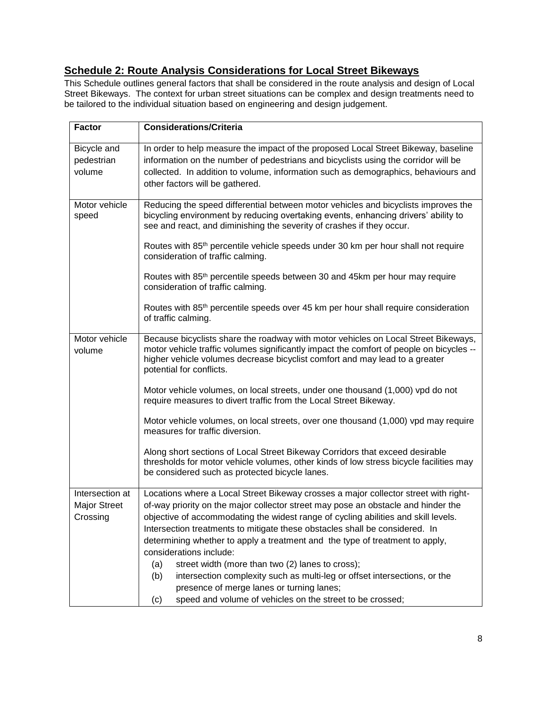# **Schedule 2: Route Analysis Considerations for Local Street Bikeways**

This Schedule outlines general factors that shall be considered in the route analysis and design of Local Street Bikeways. The context for urban street situations can be complex and design treatments need to be tailored to the individual situation based on engineering and design judgement.

| <b>Factor</b>                                      | <b>Considerations/Criteria</b>                                                                                                                                                                                                                                                                                                                                                                                                                                                                                                                                                                                                                                                                                                                                                                       |
|----------------------------------------------------|------------------------------------------------------------------------------------------------------------------------------------------------------------------------------------------------------------------------------------------------------------------------------------------------------------------------------------------------------------------------------------------------------------------------------------------------------------------------------------------------------------------------------------------------------------------------------------------------------------------------------------------------------------------------------------------------------------------------------------------------------------------------------------------------------|
| Bicycle and<br>pedestrian<br>volume                | In order to help measure the impact of the proposed Local Street Bikeway, baseline<br>information on the number of pedestrians and bicyclists using the corridor will be<br>collected. In addition to volume, information such as demographics, behaviours and<br>other factors will be gathered.                                                                                                                                                                                                                                                                                                                                                                                                                                                                                                    |
| Motor vehicle<br>speed                             | Reducing the speed differential between motor vehicles and bicyclists improves the<br>bicycling environment by reducing overtaking events, enhancing drivers' ability to<br>see and react, and diminishing the severity of crashes if they occur.<br>Routes with 85 <sup>th</sup> percentile vehicle speeds under 30 km per hour shall not require<br>consideration of traffic calming.<br>Routes with 85 <sup>th</sup> percentile speeds between 30 and 45km per hour may require<br>consideration of traffic calming.<br>Routes with 85 <sup>th</sup> percentile speeds over 45 km per hour shall require consideration<br>of traffic calming.                                                                                                                                                     |
| Motor vehicle<br>volume                            | Because bicyclists share the roadway with motor vehicles on Local Street Bikeways,<br>motor vehicle traffic volumes significantly impact the comfort of people on bicycles --<br>higher vehicle volumes decrease bicyclist comfort and may lead to a greater<br>potential for conflicts.<br>Motor vehicle volumes, on local streets, under one thousand (1,000) vpd do not<br>require measures to divert traffic from the Local Street Bikeway.<br>Motor vehicle volumes, on local streets, over one thousand (1,000) vpd may require<br>measures for traffic diversion.<br>Along short sections of Local Street Bikeway Corridors that exceed desirable<br>thresholds for motor vehicle volumes, other kinds of low stress bicycle facilities may<br>be considered such as protected bicycle lanes. |
| Intersection at<br><b>Major Street</b><br>Crossing | Locations where a Local Street Bikeway crosses a major collector street with right-<br>of-way priority on the major collector street may pose an obstacle and hinder the<br>objective of accommodating the widest range of cycling abilities and skill levels.<br>Intersection treatments to mitigate these obstacles shall be considered. In<br>determining whether to apply a treatment and the type of treatment to apply,<br>considerations include:<br>street width (more than two (2) lanes to cross);<br>(a)<br>intersection complexity such as multi-leg or offset intersections, or the<br>(b)<br>presence of merge lanes or turning lanes;<br>speed and volume of vehicles on the street to be crossed;<br>(c)                                                                             |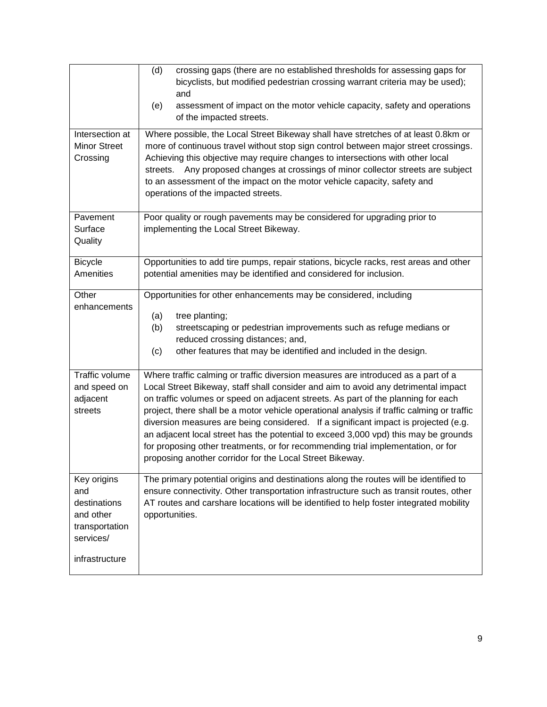|                                                                                                  | (d)<br>crossing gaps (there are no established thresholds for assessing gaps for<br>bicyclists, but modified pedestrian crossing warrant criteria may be used);<br>and<br>assessment of impact on the motor vehicle capacity, safety and operations<br>(e)<br>of the impacted streets.                                                                                                                                                                                                                                                                                                                                                                                                   |  |
|--------------------------------------------------------------------------------------------------|------------------------------------------------------------------------------------------------------------------------------------------------------------------------------------------------------------------------------------------------------------------------------------------------------------------------------------------------------------------------------------------------------------------------------------------------------------------------------------------------------------------------------------------------------------------------------------------------------------------------------------------------------------------------------------------|--|
| Intersection at<br><b>Minor Street</b><br>Crossing                                               | Where possible, the Local Street Bikeway shall have stretches of at least 0.8km or<br>more of continuous travel without stop sign control between major street crossings.<br>Achieving this objective may require changes to intersections with other local<br>Any proposed changes at crossings of minor collector streets are subject<br>streets.<br>to an assessment of the impact on the motor vehicle capacity, safety and<br>operations of the impacted streets.                                                                                                                                                                                                                   |  |
| Pavement<br>Surface<br>Quality                                                                   | Poor quality or rough pavements may be considered for upgrading prior to<br>implementing the Local Street Bikeway.                                                                                                                                                                                                                                                                                                                                                                                                                                                                                                                                                                       |  |
| <b>Bicycle</b><br>Amenities                                                                      | Opportunities to add tire pumps, repair stations, bicycle racks, rest areas and other<br>potential amenities may be identified and considered for inclusion.                                                                                                                                                                                                                                                                                                                                                                                                                                                                                                                             |  |
| Other<br>enhancements                                                                            | Opportunities for other enhancements may be considered, including<br>(a)<br>tree planting;<br>streetscaping or pedestrian improvements such as refuge medians or<br>(b)<br>reduced crossing distances; and,<br>(c)<br>other features that may be identified and included in the design.                                                                                                                                                                                                                                                                                                                                                                                                  |  |
| Traffic volume<br>and speed on<br>adjacent<br>streets                                            | Where traffic calming or traffic diversion measures are introduced as a part of a<br>Local Street Bikeway, staff shall consider and aim to avoid any detrimental impact<br>on traffic volumes or speed on adjacent streets. As part of the planning for each<br>project, there shall be a motor vehicle operational analysis if traffic calming or traffic<br>diversion measures are being considered. If a significant impact is projected (e.g.<br>an adjacent local street has the potential to exceed 3,000 vpd) this may be grounds<br>for proposing other treatments, or for recommending trial implementation, or for<br>proposing another corridor for the Local Street Bikeway. |  |
| Key origins<br>and<br>destinations<br>and other<br>transportation<br>services/<br>infrastructure | The primary potential origins and destinations along the routes will be identified to<br>ensure connectivity. Other transportation infrastructure such as transit routes, other<br>AT routes and carshare locations will be identified to help foster integrated mobility<br>opportunities.                                                                                                                                                                                                                                                                                                                                                                                              |  |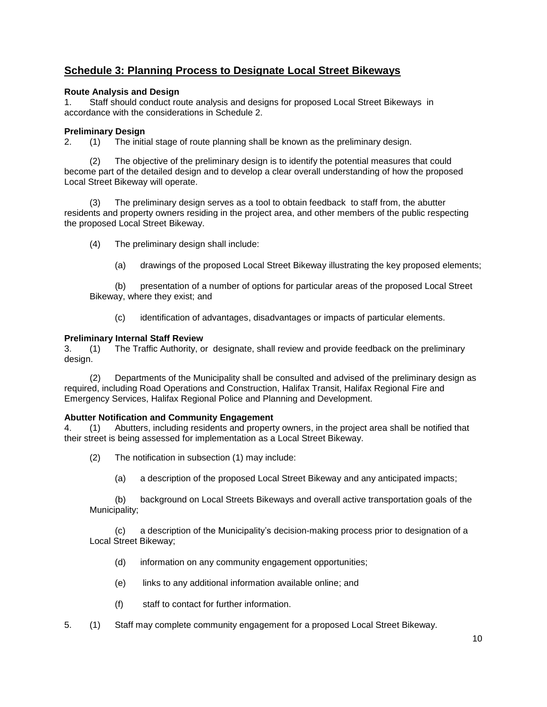### **Schedule 3: Planning Process to Designate Local Street Bikeways**

#### **Route Analysis and Design**

1. Staff should conduct route analysis and designs for proposed Local Street Bikeways in accordance with the considerations in Schedule 2.

#### **Preliminary Design**

2. (1) The initial stage of route planning shall be known as the preliminary design.

(2) The objective of the preliminary design is to identify the potential measures that could become part of the detailed design and to develop a clear overall understanding of how the proposed Local Street Bikeway will operate.

(3) The preliminary design serves as a tool to obtain feedback to staff from, the abutter residents and property owners residing in the project area, and other members of the public respecting the proposed Local Street Bikeway.

- (4) The preliminary design shall include:
	- (a) drawings of the proposed Local Street Bikeway illustrating the key proposed elements;

(b) presentation of a number of options for particular areas of the proposed Local Street Bikeway, where they exist; and

(c) identification of advantages, disadvantages or impacts of particular elements.

#### **Preliminary Internal Staff Review**

3. (1) The Traffic Authority, or designate, shall review and provide feedback on the preliminary design.

(2) Departments of the Municipality shall be consulted and advised of the preliminary design as required, including Road Operations and Construction, Halifax Transit, Halifax Regional Fire and Emergency Services, Halifax Regional Police and Planning and Development.

#### **Abutter Notification and Community Engagement**

4. (1) Abutters, including residents and property owners, in the project area shall be notified that their street is being assessed for implementation as a Local Street Bikeway.

- (2) The notification in subsection (1) may include:
	- (a) a description of the proposed Local Street Bikeway and any anticipated impacts;

(b) background on Local Streets Bikeways and overall active transportation goals of the Municipality;

(c) a description of the Municipality's decision-making process prior to designation of a Local Street Bikeway;

- (d) information on any community engagement opportunities;
- (e) links to any additional information available online; and
- (f) staff to contact for further information.
- 5. (1) Staff may complete community engagement for a proposed Local Street Bikeway.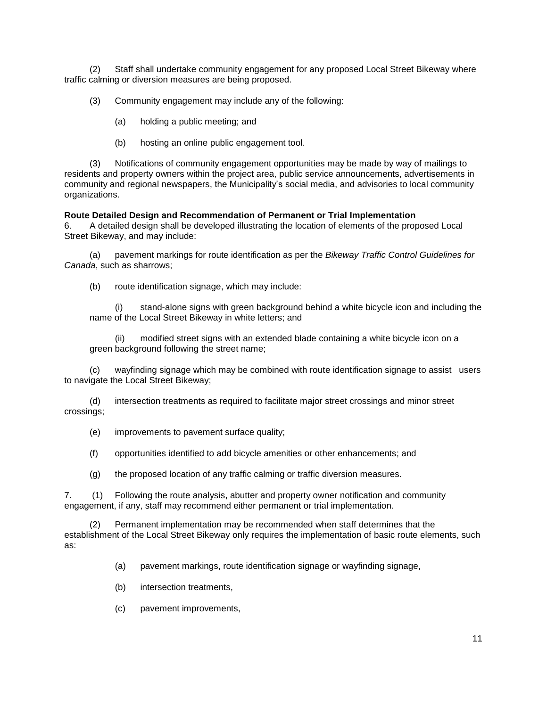(2) Staff shall undertake community engagement for any proposed Local Street Bikeway where traffic calming or diversion measures are being proposed.

(3) Community engagement may include any of the following:

(a) holding a public meeting; and

(b) hosting an online public engagement tool.

(3) Notifications of community engagement opportunities may be made by way of mailings to residents and property owners within the project area, public service announcements, advertisements in community and regional newspapers, the Municipality's social media, and advisories to local community organizations.

**Route Detailed Design and Recommendation of Permanent or Trial Implementation**

6. A detailed design shall be developed illustrating the location of elements of the proposed Local Street Bikeway, and may include:

(a) pavement markings for route identification as per the *Bikeway Traffic Control Guidelines for Canada*, such as sharrows;

(b) route identification signage, which may include:

(i) stand-alone signs with green background behind a white bicycle icon and including the name of the Local Street Bikeway in white letters; and

(ii) modified street signs with an extended blade containing a white bicycle icon on a green background following the street name;

(c) wayfinding signage which may be combined with route identification signage to assist users to navigate the Local Street Bikeway;

(d) intersection treatments as required to facilitate major street crossings and minor street crossings;

(e) improvements to pavement surface quality;

(f) opportunities identified to add bicycle amenities or other enhancements; and

(g) the proposed location of any traffic calming or traffic diversion measures.

7. (1) Following the route analysis, abutter and property owner notification and community engagement, if any, staff may recommend either permanent or trial implementation.

Permanent implementation may be recommended when staff determines that the establishment of the Local Street Bikeway only requires the implementation of basic route elements, such as:

(a) pavement markings, route identification signage or wayfinding signage,

- (b) intersection treatments,
- (c) pavement improvements,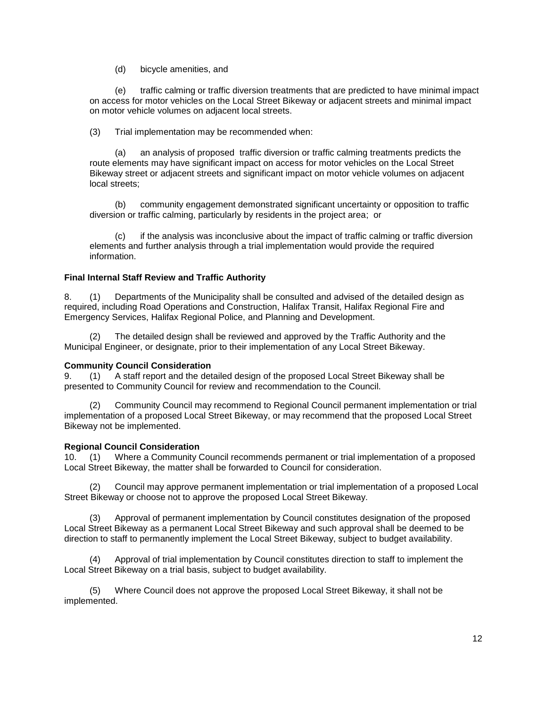(d) bicycle amenities, and

(e) traffic calming or traffic diversion treatments that are predicted to have minimal impact on access for motor vehicles on the Local Street Bikeway or adjacent streets and minimal impact on motor vehicle volumes on adjacent local streets.

(3) Trial implementation may be recommended when:

an analysis of proposed traffic diversion or traffic calming treatments predicts the route elements may have significant impact on access for motor vehicles on the Local Street Bikeway street or adjacent streets and significant impact on motor vehicle volumes on adjacent local streets;

(b) community engagement demonstrated significant uncertainty or opposition to traffic diversion or traffic calming, particularly by residents in the project area; or

(c) if the analysis was inconclusive about the impact of traffic calming or traffic diversion elements and further analysis through a trial implementation would provide the required information.

#### **Final Internal Staff Review and Traffic Authority**

8. (1) Departments of the Municipality shall be consulted and advised of the detailed design as required, including Road Operations and Construction, Halifax Transit, Halifax Regional Fire and Emergency Services, Halifax Regional Police, and Planning and Development.

The detailed design shall be reviewed and approved by the Traffic Authority and the Municipal Engineer, or designate, prior to their implementation of any Local Street Bikeway.

#### **Community Council Consideration**

9. (1) A staff report and the detailed design of the proposed Local Street Bikeway shall be presented to Community Council for review and recommendation to the Council.

(2) Community Council may recommend to Regional Council permanent implementation or trial implementation of a proposed Local Street Bikeway, or may recommend that the proposed Local Street Bikeway not be implemented.

#### **Regional Council Consideration**

10. (1) Where a Community Council recommends permanent or trial implementation of a proposed Local Street Bikeway, the matter shall be forwarded to Council for consideration.

(2) Council may approve permanent implementation or trial implementation of a proposed Local Street Bikeway or choose not to approve the proposed Local Street Bikeway.

(3) Approval of permanent implementation by Council constitutes designation of the proposed Local Street Bikeway as a permanent Local Street Bikeway and such approval shall be deemed to be direction to staff to permanently implement the Local Street Bikeway, subject to budget availability.

(4) Approval of trial implementation by Council constitutes direction to staff to implement the Local Street Bikeway on a trial basis, subject to budget availability.

(5) Where Council does not approve the proposed Local Street Bikeway, it shall not be implemented.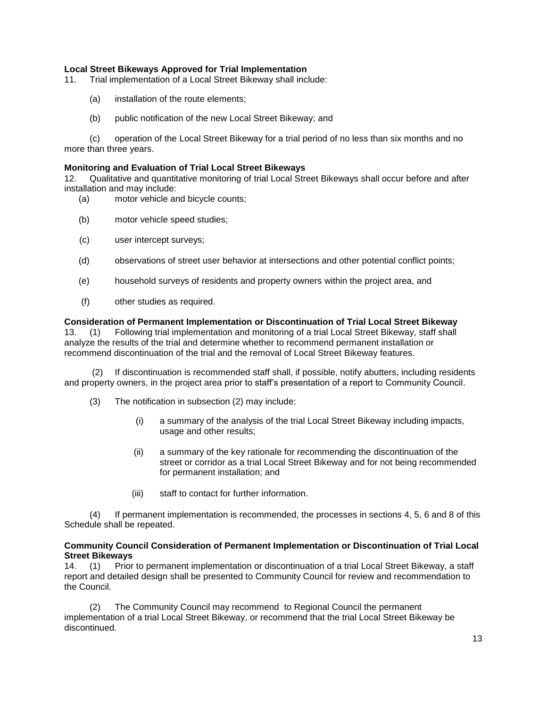#### **Local Street Bikeways Approved for Trial Implementation**

11. Trial implementation of a Local Street Bikeway shall include:

- (a) installation of the route elements;
- (b) public notification of the new Local Street Bikeway; and

(c) operation of the Local Street Bikeway for a trial period of no less than six months and no more than three years.

#### **Monitoring and Evaluation of Trial Local Street Bikeways**

12. Qualitative and quantitative monitoring of trial Local Street Bikeways shall occur before and after installation and may include:

- (a) motor vehicle and bicycle counts;
- (b) motor vehicle speed studies;
- (c) user intercept surveys;
- (d) observations of street user behavior at intersections and other potential conflict points;
- (e) household surveys of residents and property owners within the project area, and
- (f) other studies as required.

#### **Consideration of Permanent Implementation or Discontinuation of Trial Local Street Bikeway**

13. (1) Following trial implementation and monitoring of a trial Local Street Bikeway, staff shall analyze the results of the trial and determine whether to recommend permanent installation or recommend discontinuation of the trial and the removal of Local Street Bikeway features.

If discontinuation is recommended staff shall, if possible, notify abutters, including residents and property owners, in the project area prior to staff's presentation of a report to Community Council.

- (3) The notification in subsection (2) may include:
	- (i) a summary of the analysis of the trial Local Street Bikeway including impacts, usage and other results;
	- (ii) a summary of the key rationale for recommending the discontinuation of the street or corridor as a trial Local Street Bikeway and for not being recommended for permanent installation; and
	- (iii) staff to contact for further information.

(4) If permanent implementation is recommended, the processes in sections 4, 5, 6 and 8 of this Schedule shall be repeated.

#### **Community Council Consideration of Permanent Implementation or Discontinuation of Trial Local Street Bikeways**

14. (1) Prior to permanent implementation or discontinuation of a trial Local Street Bikeway, a staff report and detailed design shall be presented to Community Council for review and recommendation to the Council.

The Community Council may recommend to Regional Council the permanent implementation of a trial Local Street Bikeway, or recommend that the trial Local Street Bikeway be discontinued.